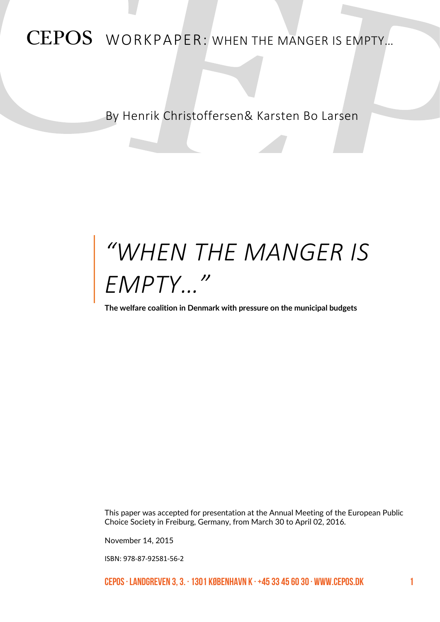# CEPOS WORKPAPER: WHEN THE MANGER IS EMPTY…

By Henrik Christoffersen& Karsten Bo Larsen

# *"WHEN THE MANGER IS EMPTY…"*

**The welfare coalition in Denmark with pressure on the municipal budgets**

This paper was accepted for presentation at the Annual Meeting of the European Public Choice Society in Freiburg, Germany, from March 30 to April 02, 2016.

November 14, 2015

ISBN: 978-87-92581-56-2

CEPOS · Landgreven 3, 3. · 1301 København K · +45 33 45 60 30 · www.cepos.dk 1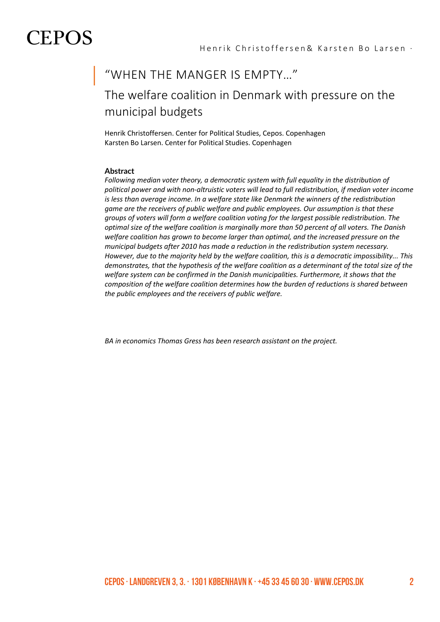### "WHEN THE MANGER IS EMPTY…"

# The welfare coalition in Denmark with pressure on the municipal budgets

Henrik Christoffersen. Center for Political Studies, Cepos. Copenhagen Karsten Bo Larsen. Center for Political Studies. Copenhagen

### **Abstract**

*Following median voter theory, a democratic system with full equality in the distribution of political power and with non-altruistic voters will lead to full redistribution, if median voter income is less than average income. In a welfare state like Denmark the winners of the redistribution game are the receivers of public welfare and public employees. Our assumption is that these groups of voters will form a welfare coalition voting for the largest possible redistribution. The optimal size of the welfare coalition is marginally more than 50 percent of all voters. The Danish welfare coalition has grown to become larger than optimal, and the increased pressure on the municipal budgets after 2010 has made a reduction in the redistribution system necessary. However, due to the majority held by the welfare coalition, this is a democratic impossibility... This demonstrates, that the hypothesis of the welfare coalition as a determinant of the total size of the welfare system can be confirmed in the Danish municipalities. Furthermore, it shows that the composition of the welfare coalition determines how the burden of reductions is shared between the public employees and the receivers of public welfare.* 

*BA in economics Thomas Gress has been research assistant on the project.*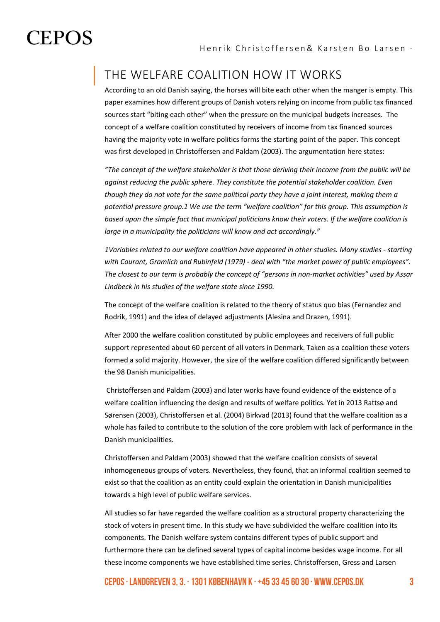## THE WELFARE COALITION HOW IT WORKS

According to an old Danish saying, the horses will bite each other when the manger is empty. This paper examines how different groups of Danish voters relying on income from public tax financed sources start "biting each other" when the pressure on the municipal budgets increases. The concept of a welfare coalition constituted by receivers of income from tax financed sources having the majority vote in welfare politics forms the starting point of the paper. This concept was first developed in Christoffersen and Paldam (2003). The argumentation here states:

*"The concept of the welfare stakeholder is that those deriving their income from the public will be against reducing the public sphere. They constitute the potential stakeholder coalition. Even though they do not vote for the same political party they have a joint interest, making them a potential pressure group.1 We use the term "welfare coalition" for this group. This assumption is based upon the simple fact that municipal politicians know their voters. If the welfare coalition is large in a municipality the politicians will know and act accordingly."*

*1Variables related to our welfare coalition have appeared in other studies. Many studies - starting with Courant, Gramlich and Rubinfeld (1979) - deal with "the market power of public employees". The closest to our term is probably the concept of "persons in non-market activities" used by Assar Lindbeck in his studies of the welfare state since 1990.*

The concept of the welfare coalition is related to the theory of status quo bias (Fernandez and Rodrik, 1991) and the idea of delayed adjustments (Alesina and Drazen, 1991).

After 2000 the welfare coalition constituted by public employees and receivers of full public support represented about 60 percent of all voters in Denmark. Taken as a coalition these voters formed a solid majority. However, the size of the welfare coalition differed significantly between the 98 Danish municipalities.

Christoffersen and Paldam (2003) and later works have found evidence of the existence of a welfare coalition influencing the design and results of welfare politics. Yet in 2013 Rattsø and Sørensen (2003), Christoffersen et al. (2004) Birkvad (2013) found that the welfare coalition as a whole has failed to contribute to the solution of the core problem with lack of performance in the Danish municipalities.

Christoffersen and Paldam (2003) showed that the welfare coalition consists of several inhomogeneous groups of voters. Nevertheless, they found, that an informal coalition seemed to exist so that the coalition as an entity could explain the orientation in Danish municipalities towards a high level of public welfare services.

All studies so far have regarded the welfare coalition as a structural property characterizing the stock of voters in present time. In this study we have subdivided the welfare coalition into its components. The Danish welfare system contains different types of public support and furthermore there can be defined several types of capital income besides wage income. For all these income components we have established time series. Christoffersen, Gress and Larsen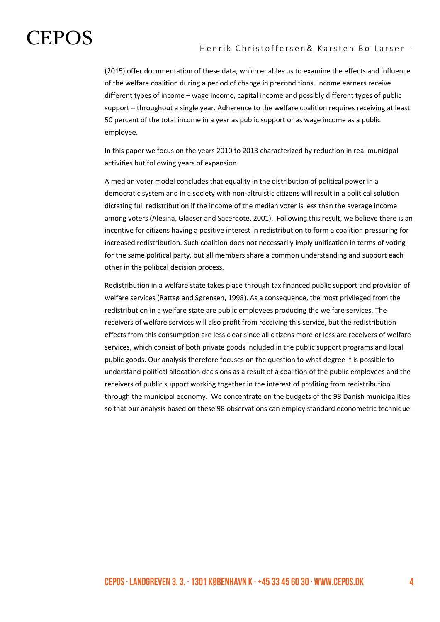(2015) offer documentation of these data, which enables us to examine the effects and influence of the welfare coalition during a period of change in preconditions. Income earners receive different types of income – wage income, capital income and possibly different types of public support – throughout a single year. Adherence to the welfare coalition requires receiving at least 50 percent of the total income in a year as public support or as wage income as a public employee.

In this paper we focus on the years 2010 to 2013 characterized by reduction in real municipal activities but following years of expansion.

A median voter model concludes that equality in the distribution of political power in a democratic system and in a society with non-altruistic citizens will result in a political solution dictating full redistribution if the income of the median voter is less than the average income among voters (Alesina, Glaeser and Sacerdote, 2001). Following this result, we believe there is an incentive for citizens having a positive interest in redistribution to form a coalition pressuring for increased redistribution. Such coalition does not necessarily imply unification in terms of voting for the same political party, but all members share a common understanding and support each other in the political decision process.

Redistribution in a welfare state takes place through tax financed public support and provision of welfare services (Rattsø and Sørensen, 1998). As a consequence, the most privileged from the redistribution in a welfare state are public employees producing the welfare services. The receivers of welfare services will also profit from receiving this service, but the redistribution effects from this consumption are less clear since all citizens more or less are receivers of welfare services, which consist of both private goods included in the public support programs and local public goods. Our analysis therefore focuses on the question to what degree it is possible to understand political allocation decisions as a result of a coalition of the public employees and the receivers of public support working together in the interest of profiting from redistribution through the municipal economy. We concentrate on the budgets of the 98 Danish municipalities so that our analysis based on these 98 observations can employ standard econometric technique.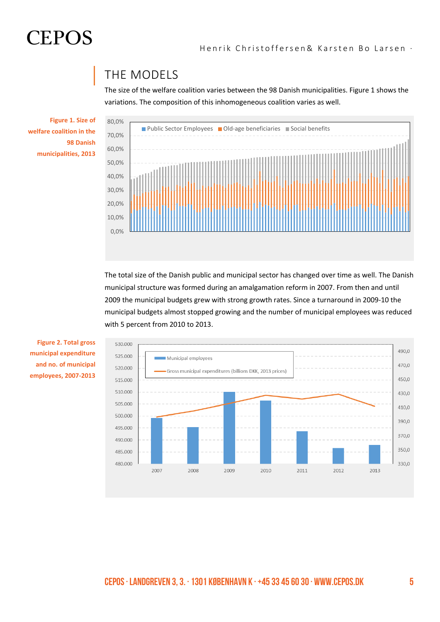

## THE MODELS

The size of the welfare coalition varies between the 98 Danish municipalities. Figure 1 shows the variations. The composition of this inhomogeneous coalition varies as well.

**Figure 1. Size of welfare coalition in the 98 Danish municipalities, 2013**



The total size of the Danish public and municipal sector has changed over time as well. The Danish municipal structure was formed during an amalgamation reform in 2007. From then and until 2009 the municipal budgets grew with strong growth rates. Since a turnaround in 2009-10 the municipal budgets almost stopped growing and the number of municipal employees was reduced with 5 percent from 2010 to 2013.



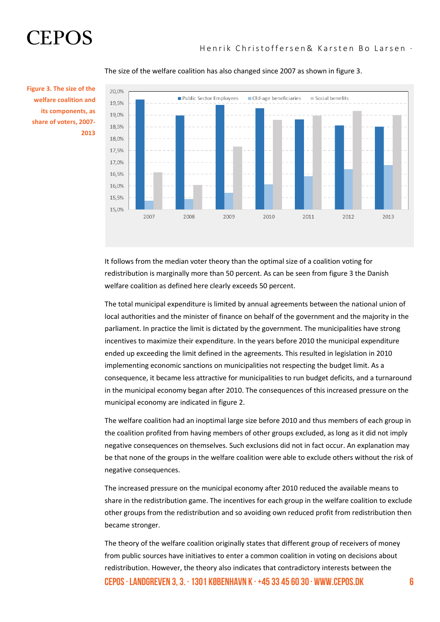20,0% Public Sector Employees Old-age beneficiaries Social benefits 19,5% 19.0% 18.5% 18,0% 17.5% 17.0% 16.5% 16.0% 15.5% 15.0% 2012 2007 2008 2009 2010 2011  $2013$ 

### The size of the welfare coalition has also changed since 2007 as shown in figure 3.

**Figure 3. The size of the welfare coalition and its components, as share of voters, 2007- 2013**

> It follows from the median voter theory than the optimal size of a coalition voting for redistribution is marginally more than 50 percent. As can be seen from figure 3 the Danish welfare coalition as defined here clearly exceeds 50 percent.

The total municipal expenditure is limited by annual agreements between the national union of local authorities and the minister of finance on behalf of the government and the majority in the parliament. In practice the limit is dictated by the government. The municipalities have strong incentives to maximize their expenditure. In the years before 2010 the municipal expenditure ended up exceeding the limit defined in the agreements. This resulted in legislation in 2010 implementing economic sanctions on municipalities not respecting the budget limit. As a consequence, it became less attractive for municipalities to run budget deficits, and a turnaround in the municipal economy began after 2010. The consequences of this increased pressure on the municipal economy are indicated in figure 2.

The welfare coalition had an inoptimal large size before 2010 and thus members of each group in the coalition profited from having members of other groups excluded, as long as it did not imply negative consequences on themselves. Such exclusions did not in fact occur. An explanation may be that none of the groups in the welfare coalition were able to exclude others without the risk of negative consequences.

The increased pressure on the municipal economy after 2010 reduced the available means to share in the redistribution game. The incentives for each group in the welfare coalition to exclude other groups from the redistribution and so avoiding own reduced profit from redistribution then became stronger.

CEPOS  $\cdot$  Landgreven 3, 3,  $\cdot$  1301 København K  $\cdot$  +45 33 45 60 30  $\cdot$  WWW.cepos.dk 6 The theory of the welfare coalition originally states that different group of receivers of money from public sources have initiatives to enter a common coalition in voting on decisions about redistribution. However, the theory also indicates that contradictory interests between the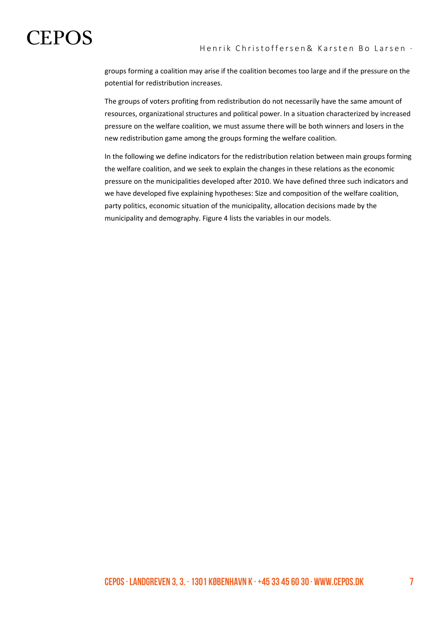groups forming a coalition may arise if the coalition becomes too large and if the pressure on the potential for redistribution increases.

The groups of voters profiting from redistribution do not necessarily have the same amount of resources, organizational structures and political power. In a situation characterized by increased pressure on the welfare coalition, we must assume there will be both winners and losers in the new redistribution game among the groups forming the welfare coalition.

In the following we define indicators for the redistribution relation between main groups forming the welfare coalition, and we seek to explain the changes in these relations as the economic pressure on the municipalities developed after 2010. We have defined three such indicators and we have developed five explaining hypotheses: Size and composition of the welfare coalition, party politics, economic situation of the municipality, allocation decisions made by the municipality and demography. Figure 4 lists the variables in our models.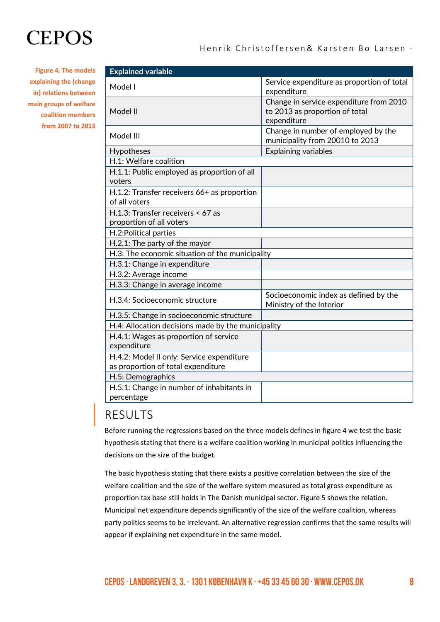**Figure 4. The models explaining the (change in) relations between main groups of welfare coalition members from 2007 to 2013**

| <b>Explained variable</b>                                                       |                                                                                          |  |  |  |
|---------------------------------------------------------------------------------|------------------------------------------------------------------------------------------|--|--|--|
| Model I                                                                         | Service expenditure as proportion of total<br>expenditure                                |  |  |  |
| Model II                                                                        | Change in service expenditure from 2010<br>to 2013 as proportion of total<br>expenditure |  |  |  |
| Model III                                                                       | Change in number of employed by the<br>municipality from 20010 to 2013                   |  |  |  |
| Hypotheses                                                                      | <b>Explaining variables</b>                                                              |  |  |  |
| H.1: Welfare coalition                                                          |                                                                                          |  |  |  |
| H.1.1: Public employed as proportion of all<br>voters                           |                                                                                          |  |  |  |
| H.1.2: Transfer receivers 66+ as proportion<br>of all voters                    |                                                                                          |  |  |  |
| H.1.3: Transfer receivers < 67 as<br>proportion of all voters                   |                                                                                          |  |  |  |
| H.2: Political parties                                                          |                                                                                          |  |  |  |
| H.2.1: The party of the mayor                                                   |                                                                                          |  |  |  |
| H.3: The economic situation of the municipality                                 |                                                                                          |  |  |  |
| H.3.1: Change in expenditure                                                    |                                                                                          |  |  |  |
| H.3.2: Average income                                                           |                                                                                          |  |  |  |
| H.3.3: Change in average income                                                 |                                                                                          |  |  |  |
| H.3.4: Socioeconomic structure                                                  | Socioeconomic index as defined by the<br>Ministry of the Interior                        |  |  |  |
| H.3.5: Change in socioeconomic structure                                        |                                                                                          |  |  |  |
| H.4: Allocation decisions made by the municipality                              |                                                                                          |  |  |  |
| H.4.1: Wages as proportion of service<br>expenditure                            |                                                                                          |  |  |  |
| H.4.2: Model II only: Service expenditure<br>as proportion of total expenditure |                                                                                          |  |  |  |
| H.5: Demographics                                                               |                                                                                          |  |  |  |
| H.5.1: Change in number of inhabitants in                                       |                                                                                          |  |  |  |
| percentage                                                                      |                                                                                          |  |  |  |

## RESULTS

Before running the regressions based on the three models defines in figure 4 we test the basic hypothesis stating that there is a welfare coalition working in municipal politics influencing the decisions on the size of the budget.

The basic hypothesis stating that there exists a positive correlation between the size of the welfare coalition and the size of the welfare system measured as total gross expenditure as proportion tax base still holds in The Danish municipal sector. Figure 5 shows the relation. Municipal net expenditure depends significantly of the size of the welfare coalition, whereas party politics seems to be irrelevant. An alternative regression confirms that the same results will appear if explaining net expenditure in the same model.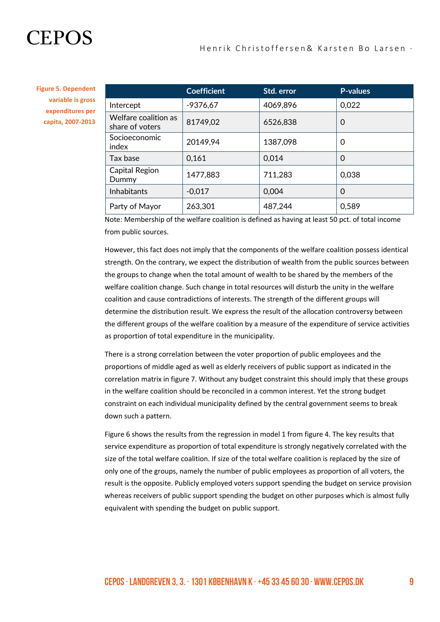**Figure 5. Dependent variable is gross expenditures per capita, 2007-2013**

|                                         | <b>Coefficient</b> | Std. error | <b>P-values</b> |
|-----------------------------------------|--------------------|------------|-----------------|
| Intercept                               | $-9376,67$         | 4069,896   | 0,022           |
| Welfare coalition as<br>share of voters | 81749,02           | 6526,838   | 0               |
| Socioeconomic<br>index                  | 20149,94           | 1387,098   | 0               |
| Tax base                                | 0,161              | 0,014      | 0               |
| Capital Region<br>Dummy                 | 1477,883           | 711,283    | 0,038           |
| <b>Inhabitants</b>                      | $-0.017$           | 0,004      | 0               |
| Party of Mayor                          | 263,301            | 487,244    | 0,589           |

Note: Membership of the welfare coalition is defined as having at least 50 pct. of total income from public sources.

However, this fact does not imply that the components of the welfare coalition possess identical strength. On the contrary, we expect the distribution of wealth from the public sources between the groups to change when the total amount of wealth to be shared by the members of the welfare coalition change. Such change in total resources will disturb the unity in the welfare coalition and cause contradictions of interests. The strength of the different groups will determine the distribution result. We express the result of the allocation controversy between the different groups of the welfare coalition by a measure of the expenditure of service activities as proportion of total expenditure in the municipality.

There is a strong correlation between the voter proportion of public employees and the proportions of middle aged as well as elderly receivers of public support as indicated in the correlation matrix in figure 7. Without any budget constraint this should imply that these groups in the welfare coalition should be reconciled in a common interest. Yet the strong budget constraint on each individual municipality defined by the central government seems to break down such a pattern.

Figure 6 shows the results from the regression in model 1 from figure 4. The key results that service expenditure as proportion of total expenditure is strongly negatively correlated with the size of the total welfare coalition. If size of the total welfare coalition is replaced by the size of only one of the groups, namely the number of public employees as proportion of all voters, the result is the opposite. Publicly employed voters support spending the budget on service provision whereas receivers of public support spending the budget on other purposes which is almost fully equivalent with spending the budget on public support.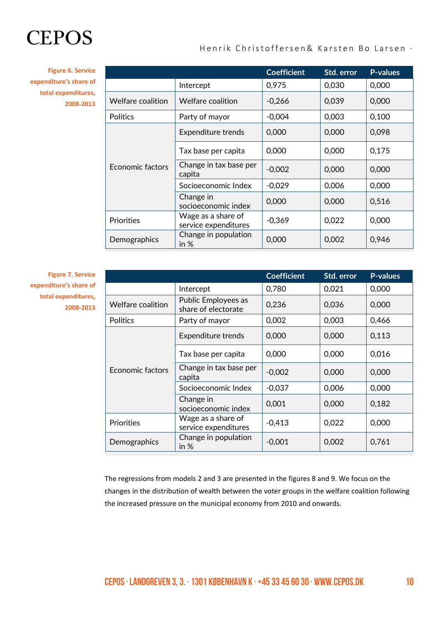**Figure 6. Service expenditure's share of total expenditures, 2008-2013**

|                   |                                            | <b>Coefficient</b> | Std. error | <b>P-values</b> |
|-------------------|--------------------------------------------|--------------------|------------|-----------------|
|                   | Intercept                                  | 0,975              | 0,030      | 0,000           |
| Welfare coalition | Welfare coalition                          | $-0,266$           | 0,039      | 0,000           |
| <b>Politics</b>   | Party of mayor                             | $-0,004$           | 0,003      | 0,100           |
| Economic factors  | <b>Expenditure trends</b>                  | 0,000              | 0,000      | 0,098           |
|                   | Tax base per capita                        | 0,000              | 0,000      | 0,175           |
|                   | Change in tax base per<br>capita           | $-0,002$           | 0,000      | 0,000           |
|                   | Socioeconomic Index                        | $-0,029$           | 0,006      | 0,000           |
|                   | Change in<br>socioeconomic index           | 0,000              | 0,000      | 0,516           |
| <b>Priorities</b> | Wage as a share of<br>service expenditures | $-0,369$           | 0,022      | 0,000           |
| Demographics      | Change in population<br>in $%$             | 0,000              | 0,002      | 0,946           |

**Figure 7. Service expenditure's share of total expenditures, 2008-2013**

|                          |                                            | <b>Coefficient</b> | Std. error | <b>P-values</b> |
|--------------------------|--------------------------------------------|--------------------|------------|-----------------|
|                          | Intercept                                  | 0,780              | 0,021      | 0,000           |
| <b>Welfare coalition</b> | Public Employees as<br>share of electorate | 0,236              | 0,036      | 0,000           |
| <b>Politics</b>          | Party of mayor                             | 0,002              | 0,003      | 0,466           |
| Economic factors         | Expenditure trends                         | 0,000              | 0,000      | 0,113           |
|                          | Tax base per capita                        | 0,000              | 0,000      | 0,016           |
|                          | Change in tax base per<br>capita           | $-0,002$           | 0,000      | 0,000           |
|                          | Socioeconomic Index                        | $-0,037$           | 0,006      | 0,000           |
|                          | Change in<br>socioeconomic index           | 0,001              | 0,000      | 0,182           |
| <b>Priorities</b>        | Wage as a share of<br>service expenditures | $-0,413$           | 0,022      | 0,000           |
| Demographics             | Change in population<br>in $%$             | $-0,001$           | 0,002      | 0,761           |

The regressions from models 2 and 3 are presented in the figures 8 and 9. We focus on the changes in the distribution of wealth between the voter groups in the welfare coalition following the increased pressure on the municipal economy from 2010 and onwards.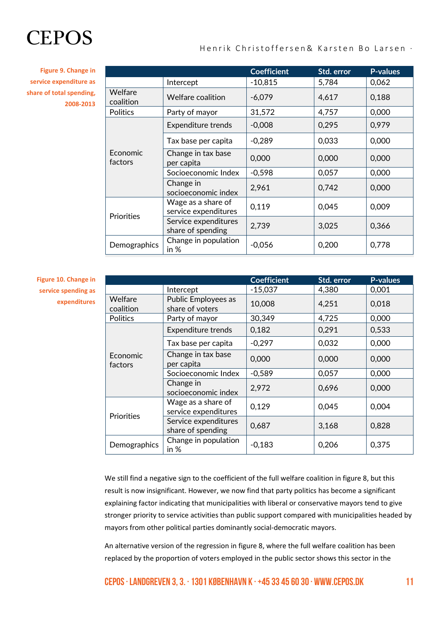**Figure 9. Change in service expenditure as share of total spending, 2008-2013**

|                      |                                            | <b>Coefficient</b> | Std. error | <b>P-values</b> |
|----------------------|--------------------------------------------|--------------------|------------|-----------------|
|                      | Intercept                                  | $-10,815$          | 5,784      | 0,062           |
| Welfare<br>coalition | <b>Welfare coalition</b>                   | $-6,079$           | 4,617      | 0,188           |
| <b>Politics</b>      | Party of mayor                             | 31,572             | 4,757      | 0,000           |
|                      | <b>Expenditure trends</b>                  | $-0,008$           | 0,295      | 0,979           |
|                      | Tax base per capita                        | $-0,289$           | 0,033      | 0,000           |
| Economic<br>factors  | Change in tax base<br>per capita           | 0,000              | 0,000      | 0,000           |
|                      | Socioeconomic Index                        | $-0,598$           | 0,057      | 0,000           |
|                      | Change in<br>socioeconomic index           | 2,961              | 0,742      | 0,000           |
| <b>Priorities</b>    | Wage as a share of<br>service expenditures | 0,119              | 0,045      | 0,009           |
|                      | Service expenditures<br>share of spending  | 2,739              | 3,025      | 0,366           |
| <b>Demographics</b>  | Change in population<br>in $%$             | $-0,056$           | 0,200      | 0,778           |

**Figure 10. Change in service spending as expenditures**

|                      |                                            | <b>Coefficient</b> | Std. error | <b>P-values</b> |
|----------------------|--------------------------------------------|--------------------|------------|-----------------|
|                      | Intercept                                  | $-15,037$          | 4,380      | 0,001           |
| Welfare<br>coalition | Public Employees as<br>share of voters     | 10,008             | 4,251      | 0,018           |
| Politics             | Party of mayor                             | 30,349             | 4,725      | 0,000           |
|                      | <b>Expenditure trends</b>                  | 0,182              | 0,291      | 0,533           |
|                      | Tax base per capita                        | $-0,297$           | 0,032      | 0,000           |
| Economic<br>factors  | Change in tax base<br>per capita           | 0,000              | 0,000      | 0,000           |
|                      | Socioeconomic Index                        | $-0,589$           | 0,057      | 0,000           |
|                      | Change in<br>socioeconomic index           | 2,972              | 0,696      | 0,000           |
| <b>Priorities</b>    | Wage as a share of<br>service expenditures | 0,129              | 0,045      | 0,004           |
|                      | Service expenditures<br>share of spending  | 0,687              | 3,168      | 0,828           |
| Demographics         | Change in population<br>in $%$             | $-0,183$           | 0,206      | 0,375           |

We still find a negative sign to the coefficient of the full welfare coalition in figure 8, but this result is now insignificant. However, we now find that party politics has become a significant explaining factor indicating that municipalities with liberal or conservative mayors tend to give stronger priority to service activities than public support compared with municipalities headed by mayors from other political parties dominantly social-democratic mayors.

An alternative version of the regression in figure 8, where the full welfare coalition has been replaced by the proportion of voters employed in the public sector shows this sector in the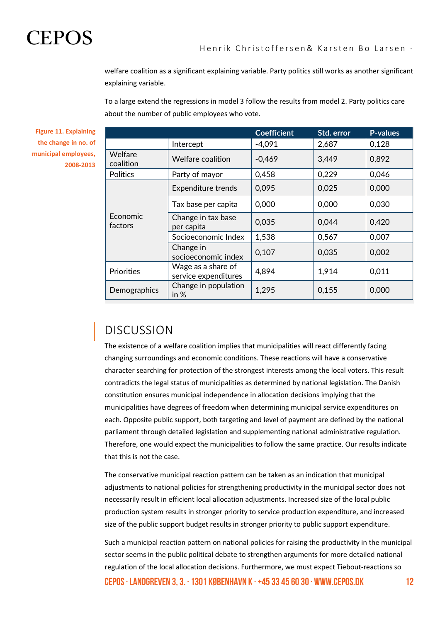

welfare coalition as a significant explaining variable. Party politics still works as another significant explaining variable.

To a large extend the regressions in model 3 follow the results from model 2. Party politics care about the number of public employees who vote.

**Coefficient Std. error P-values** Intercept -4,091 2,687 0,128 Welfare  $\begin{array}{|c|c|c|c|c|}\n \hline\n \text{coulition} & \text{Welfare coalition} & -0,469 & 3,449 & 0,892 \\
\hline\n \end{array}$ Politics Party of mayor 0,458 0,229 0,046 Economic factors Expenditure trends 0,095 0,025 0,000 Tax base per capita  $\begin{array}{|c|c|c|c|c|c|c|c|} \hline \end{array}$  0,000  $\begin{array}{|c|c|c|c|c|c|c|c|} \hline \end{array}$  0,030 Change in tax base  $\begin{array}{|c|c|c|c|c|c|c|}\n \hline\n \text{per capita} & & 0,035 & & 0,044 & & 0,420\n \end{array}$ Socioeconomic Index  $\vert$  1,538  $\vert$  0.567  $\vert$  0.007 Change in socioeconomic index  $\begin{vmatrix} 0,107 \\ 0,035 \end{vmatrix}$  0,002 Priorities Wage as a share of service expenditures  $\begin{vmatrix} 4,894 \end{vmatrix}$  1,914  $\begin{vmatrix} 0,011 \end{vmatrix}$ Demographics  $\begin{array}{c} \begin{array}{c} \text{Change in population} \\ \text{in } \% \end{array} \end{array}$ in % 1,295  $\left| \begin{array}{ccc} 0.155 \\ 0.000 \end{array} \right|$ 

**Figure 11. Explaining the change in no. of municipal employees, 2008-2013**

## DISCUSSION

The existence of a welfare coalition implies that municipalities will react differently facing changing surroundings and economic conditions. These reactions will have a conservative character searching for protection of the strongest interests among the local voters. This result contradicts the legal status of municipalities as determined by national legislation. The Danish constitution ensures municipal independence in allocation decisions implying that the municipalities have degrees of freedom when determining municipal service expenditures on each. Opposite public support, both targeting and level of payment are defined by the national parliament through detailed legislation and supplementing national administrative regulation. Therefore, one would expect the municipalities to follow the same practice. Our results indicate that this is not the case.

The conservative municipal reaction pattern can be taken as an indication that municipal adjustments to national policies for strengthening productivity in the municipal sector does not necessarily result in efficient local allocation adjustments. Increased size of the local public production system results in stronger priority to service production expenditure, and increased size of the public support budget results in stronger priority to public support expenditure.

CEPOS  $\cdot$  Landgreven 3, 3,  $\cdot$  1301 København K  $\cdot$  +45 33 45 60 30  $\cdot$  WWW.cepos.dk 12 Such a municipal reaction pattern on national policies for raising the productivity in the municipal sector seems in the public political debate to strengthen arguments for more detailed national regulation of the local allocation decisions. Furthermore, we must expect Tiebout-reactions so